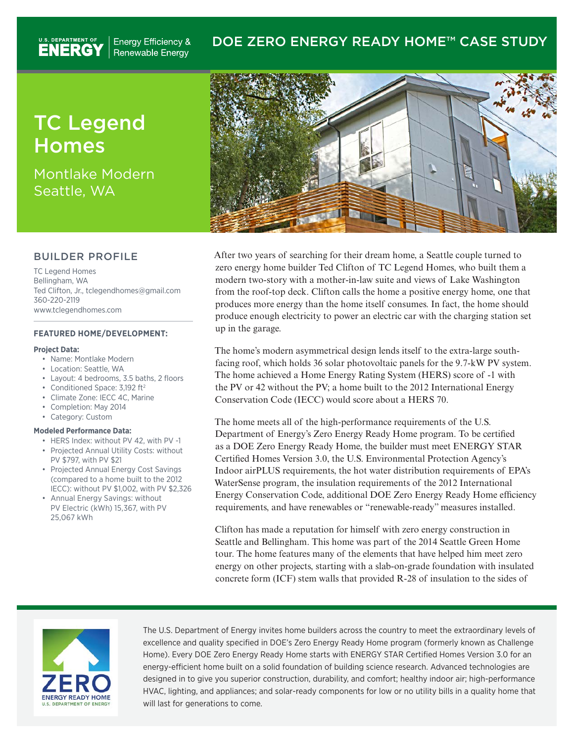# DOE ZERO ENERGY READY HOME™ CASE STUDY

TC Legend Homes

Energy Efficiency & Renewable Energy

U.S. DEPARTMENT OF

Montlake Modern Seattle, WA

### BUILDER PROFILE

TC Legend Homes Bellingham, WA Ted Clifton, Jr., tclegendhomes@gmail.com 360-220-2119 www.tclegendhomes.com

#### **FEATURED HOME/DEVELOPMENT:**

#### **Project Data:**

- Name: Montlake Modern
- Location: Seattle, WA
- Layout: 4 bedrooms, 3.5 baths, 2 floors
- Conditioned Space:  $3,192$  ft<sup>2</sup>
- Climate Zone: IECC 4C, Marine
- Completion: May 2014
- Category: Custom

#### **Modeled Performance Data:**

- HERS Index: without PV 42, with PV -1 • Projected Annual Utility Costs: without PV \$797, with PV \$21
- Projected Annual Energy Cost Savings (compared to a home built to the 2012 IECC): without PV \$1,002, with PV \$2,326
- Annual Energy Savings: without PV Electric (kWh) 15,367, with PV 25,067 kWh



After two years of searching for their dream home, a Seattle couple turned to zero energy home builder Ted Clifton of TC Legend Homes, who built them a modern two-story with a mother-in-law suite and views of Lake Washington from the roof-top deck. Clifton calls the home a positive energy home, one that produces more energy than the home itself consumes. In fact, the home should produce enough electricity to power an electric car with the charging station set up in the garage.

The home's modern asymmetrical design lends itself to the extra-large southfacing roof, which holds 36 solar photovoltaic panels for the 9.7-kW PV system. The home achieved a Home Energy Rating System (HERS) score of -1 with the PV or 42 without the PV; a home built to the 2012 International Energy Conservation Code (IECC) would score about a HERS 70.

The home meets all of the high-performance requirements of the U.S. Department of Energy's Zero Energy Ready Home program. To be certified as a DOE Zero Energy Ready Home, the builder must meet ENERGY STAR Certified Homes Version 3.0, the U.S. Environmental Protection Agency's Indoor airPLUS requirements, the hot water distribution requirements of EPA's WaterSense program, the insulation requirements of the 2012 International Energy Conservation Code, additional DOE Zero Energy Ready Home efficiency requirements, and have renewables or "renewable-ready" measures installed.

Clifton has made a reputation for himself with zero energy construction in Seattle and Bellingham. This home was part of the 2014 Seattle Green Home tour. The home features many of the elements that have helped him meet zero energy on other projects, starting with a slab-on-grade foundation with insulated concrete form (ICF) stem walls that provided R-28 of insulation to the sides of



The U.S. Department of Energy invites home builders across the country to meet the extraordinary levels of excellence and quality specified in DOE's Zero Energy Ready Home program (formerly known as Challenge Home). Every DOE Zero Energy Ready Home starts with ENERGY STAR Certified Homes Version 3.0 for an energy-efficient home built on a solid foundation of building science research. Advanced technologies are designed in to give you superior construction, durability, and comfort; healthy indoor air; high-performance HVAC, lighting, and appliances; and solar-ready components for low or no utility bills in a quality home that will last for generations to come.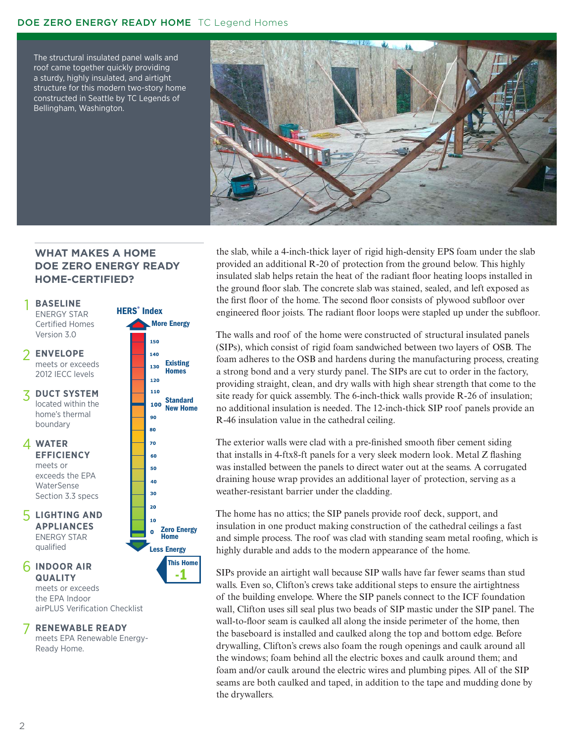### DOE ZERO ENERGY READY HOME TC Legend Homes

The structural insulated panel walls and roof came together quickly providing a sturdy, highly insulated, and airtight structure for this modern two-story home constructed in Seattle by TC Legends of Bellingham, Washington.



## **WHAT MAKES A HOME DOE ZERO ENERGY READY HOME-CERTIFIED?**



the EPA Indoor airPLUS Verification Checklist This Home

-1

#### **RENEWABLE READY** 7

meets EPA Renewable Energy-Ready Home.

the slab, while a 4-inch-thick layer of rigid high-density EPS foam under the slab provided an additional R-20 of protection from the ground below. This highly insulated slab helps retain the heat of the radiant floor heating loops installed in the ground floor slab. The concrete slab was stained, sealed, and left exposed as the first floor of the home. The second floor consists of plywood subfloor over engineered floor joists. The radiant floor loops were stapled up under the subfloor.

The walls and roof of the home were constructed of structural insulated panels (SIPs), which consist of rigid foam sandwiched between two layers of OSB. The foam adheres to the OSB and hardens during the manufacturing process, creating a strong bond and a very sturdy panel. The SIPs are cut to order in the factory, providing straight, clean, and dry walls with high shear strength that come to the site ready for quick assembly. The 6-inch-thick walls provide R-26 of insulation; no additional insulation is needed. The 12-inch-thick SIP roof panels provide an R-46 insulation value in the cathedral ceiling.

The exterior walls were clad with a pre-finished smooth fiber cement siding that installs in 4-ftx8-ft panels for a very sleek modern look. Metal Z flashing was installed between the panels to direct water out at the seams. A corrugated draining house wrap provides an additional layer of protection, serving as a weather-resistant barrier under the cladding.

The home has no attics; the SIP panels provide roof deck, support, and insulation in one product making construction of the cathedral ceilings a fast and simple process. The roof was clad with standing seam metal roofing, which is highly durable and adds to the modern appearance of the home.

SIPs provide an airtight wall because SIP walls have far fewer seams than stud walls. Even so, Clifton's crews take additional steps to ensure the airtightness of the building envelope. Where the SIP panels connect to the ICF foundation wall, Clifton uses sill seal plus two beads of SIP mastic under the SIP panel. The wall-to-floor seam is caulked all along the inside perimeter of the home, then the baseboard is installed and caulked along the top and bottom edge. Before drywalling, Clifton's crews also foam the rough openings and caulk around all the windows; foam behind all the electric boxes and caulk around them; and foam and/or caulk around the electric wires and plumbing pipes. All of the SIP seams are both caulked and taped, in addition to the tape and mudding done by the drywallers.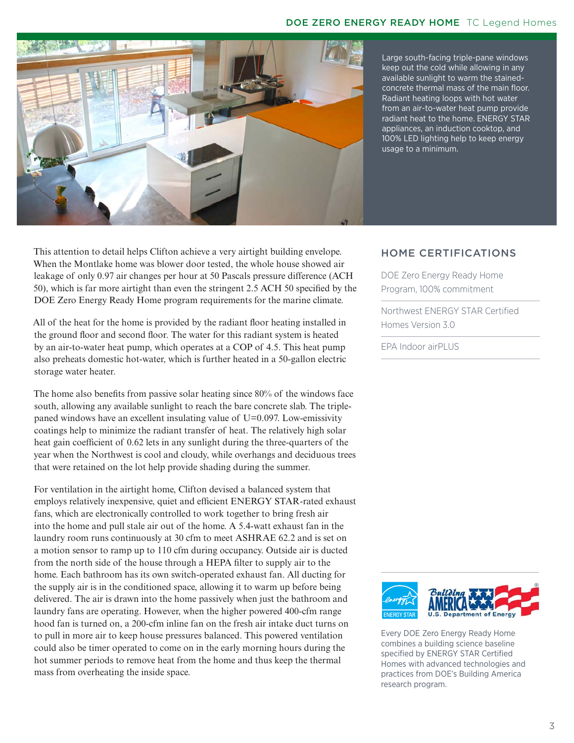### DOE ZERO ENERGY READY HOME TC Legend Homes



Large south-facing triple-pane windows keep out the cold while allowing in any available sunlight to warm the stainedconcrete thermal mass of the main floor. Radiant heating loops with hot water from an air-to-water heat pump provide radiant heat to the home. ENERGY STAR appliances, an induction cooktop, and 100% LED lighting help to keep energy usage to a minimum.

This attention to detail helps Clifton achieve a very airtight building envelope. When the Montlake home was blower door tested, the whole house showed air leakage of only 0.97 air changes per hour at 50 Pascals pressure difference (ACH 50), which is far more airtight than even the stringent 2.5 ACH 50 specified by the DOE Zero Energy Ready Home program requirements for the marine climate.

All of the heat for the home is provided by the radiant floor heating installed in the ground floor and second floor. The water for this radiant system is heated by an air-to-water heat pump, which operates at a COP of 4.5. This heat pump also preheats domestic hot-water, which is further heated in a 50-gallon electric storage water heater.

The home also benefits from passive solar heating since 80% of the windows face south, allowing any available sunlight to reach the bare concrete slab. The triplepaned windows have an excellent insulating value of U=0.097. Low-emissivity coatings help to minimize the radiant transfer of heat. The relatively high solar heat gain coefficient of 0.62 lets in any sunlight during the three-quarters of the year when the Northwest is cool and cloudy, while overhangs and deciduous trees that were retained on the lot help provide shading during the summer.

For ventilation in the airtight home, Clifton devised a balanced system that employs relatively inexpensive, quiet and efficient ENERGY STAR-rated exhaust fans, which are electronically controlled to work together to bring fresh air into the home and pull stale air out of the home. A 5.4-watt exhaust fan in the laundry room runs continuously at 30 cfm to meet ASHRAE 62.2 and is set on a motion sensor to ramp up to 110 cfm during occupancy. Outside air is ducted from the north side of the house through a HEPA filter to supply air to the home. Each bathroom has its own switch-operated exhaust fan. All ducting for the supply air is in the conditioned space, allowing it to warm up before being delivered. The air is drawn into the home passively when just the bathroom and laundry fans are operating. However, when the higher powered 400-cfm range hood fan is turned on, a 200-cfm inline fan on the fresh air intake duct turns on to pull in more air to keep house pressures balanced. This powered ventilation could also be timer operated to come on in the early morning hours during the hot summer periods to remove heat from the home and thus keep the thermal mass from overheating the inside space.

## HOME CERTIFICATIONS

DOE Zero Energy Ready Home Program, 100% commitment

Northwest ENERGY STAR Certified Homes Version 3.0

EPA Indoor airPLUS



Every DOE Zero Energy Ready Home combines a building science baseline specified by ENERGY STAR Certified Homes with advanced technologies and practices from DOE's Building America research program.